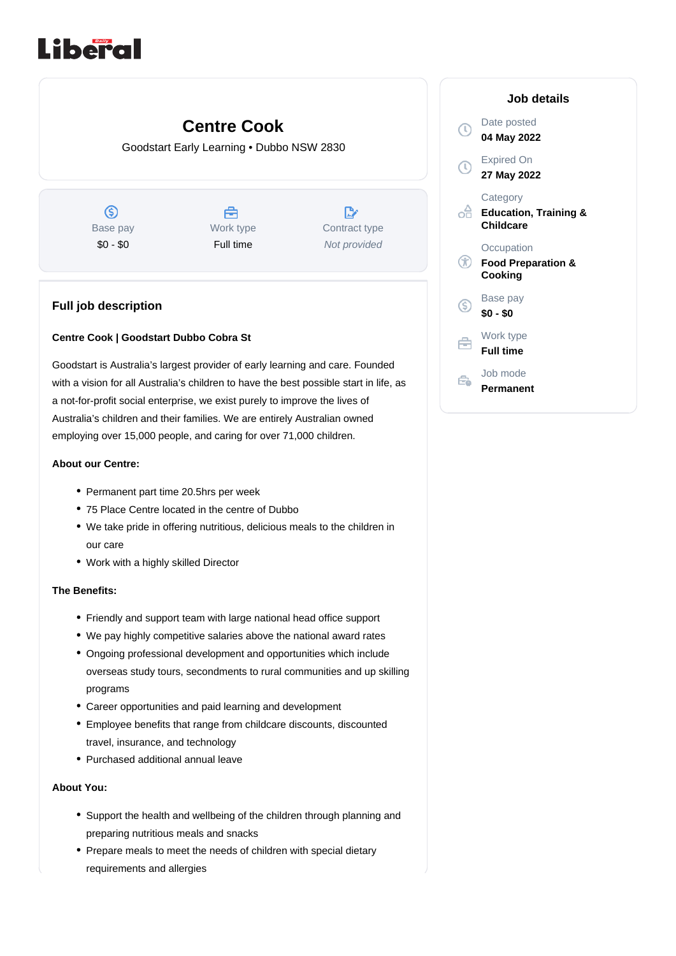# Liberal

## **Centre Cook**

Goodstart Early Learning • Dubbo NSW 2830

 $\circledS$ Base pay \$0 - \$0

A Work type Full time

 $\mathbb{R}^*$ Contract type Not provided

### **Full job description**

#### **Centre Cook | Goodstart Dubbo Cobra St**

Goodstart is Australia's largest provider of early learning and care. Founded with a vision for all Australia's children to have the best possible start in life, as a not-for-profit social enterprise, we exist purely to improve the lives of Australia's children and their families. We are entirely Australian owned employing over 15,000 people, and caring for over 71,000 children.

#### **About our Centre:**

- Permanent part time 20.5hrs per week
- 75 Place Centre located in the centre of Dubbo
- We take pride in offering nutritious, delicious meals to the children in our care
- Work with a highly skilled Director

#### **The Benefits:**

- Friendly and support team with large national head office support
- We pay highly competitive salaries above the national award rates
- Ongoing professional development and opportunities which include overseas study tours, secondments to rural communities and up skilling programs
- Career opportunities and paid learning and development
- Employee benefits that range from childcare discounts, discounted travel, insurance, and technology
- Purchased additional annual leave

#### **About You:**

- Support the health and wellbeing of the children through planning and preparing nutritious meals and snacks
- Prepare meals to meet the needs of children with special dietary requirements and allergies

|     | Job details                                               |
|-----|-----------------------------------------------------------|
|     | Date posted<br>04 May 2022                                |
|     | <b>Expired On</b><br>27 May 2022                          |
|     | Category<br><b>Education, Training &amp;</b><br>Childcare |
| OD) | Occupation<br><b>Food Preparation &amp;</b><br>Cooking    |
| S)  | Base pay<br>\$0 - \$0                                     |
|     | Work type<br><b>Full time</b>                             |
|     | Job mode<br>Permanent                                     |